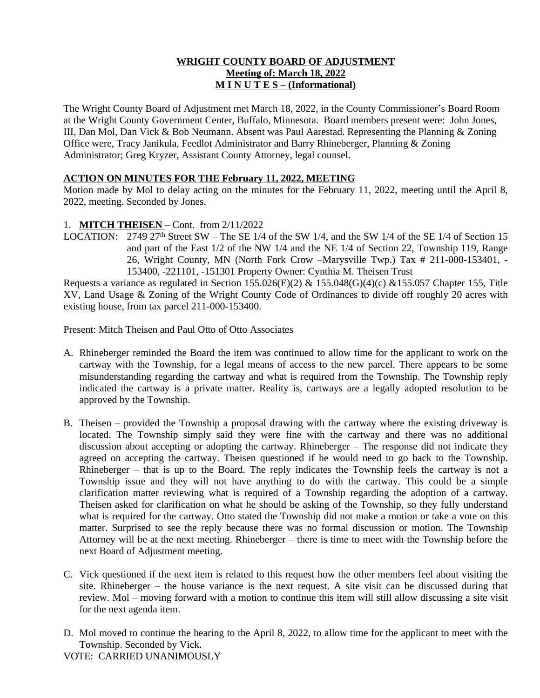## **WRIGHT COUNTY BOARD OF ADJUSTMENT Meeting of: March 18, 2022 M I N U T E S – (Informational)**

The Wright County Board of Adjustment met March 18, 2022, in the County Commissioner's Board Room at the Wright County Government Center, Buffalo, Minnesota. Board members present were: John Jones, III, Dan Mol, Dan Vick & Bob Neumann. Absent was Paul Aarestad. Representing the Planning & Zoning Office were, Tracy Janikula, Feedlot Administrator and Barry Rhineberger, Planning & Zoning Administrator; Greg Kryzer, Assistant County Attorney, legal counsel.

## **ACTION ON MINUTES FOR THE February 11, 2022, MEETING**

Motion made by Mol to delay acting on the minutes for the February 11, 2022, meeting until the April 8, 2022, meeting. Seconded by Jones.

### 1. **MITCH THEISEN** – Cont. from 2/11/2022

LOCATION: 2749 27<sup>th</sup> Street SW – The SE 1/4 of the SW 1/4, and the SW 1/4 of the SE 1/4 of Section 15 and part of the East 1/2 of the NW 1/4 and the NE 1/4 of Section 22, Township 119, Range 26, Wright County, MN (North Fork Crow –Marysville Twp.) Tax # 211-000-153401, - 153400, -221101, -151301 Property Owner: Cynthia M. Theisen Trust

Requests a variance as regulated in Section 155.026(E)(2) & 155.048(G)(4)(c) & 155.057 Chapter 155, Title XV, Land Usage & Zoning of the Wright County Code of Ordinances to divide off roughly 20 acres with existing house, from tax parcel 211-000-153400.

Present: Mitch Theisen and Paul Otto of Otto Associates

- A. Rhineberger reminded the Board the item was continued to allow time for the applicant to work on the cartway with the Township, for a legal means of access to the new parcel. There appears to be some misunderstanding regarding the cartway and what is required from the Township. The Township reply indicated the cartway is a private matter. Reality is, cartways are a legally adopted resolution to be approved by the Township.
- B. Theisen provided the Township a proposal drawing with the cartway where the existing driveway is located. The Township simply said they were fine with the cartway and there was no additional discussion about accepting or adopting the cartway. Rhineberger – The response did not indicate they agreed on accepting the cartway. Theisen questioned if he would need to go back to the Township. Rhineberger – that is up to the Board. The reply indicates the Township feels the cartway is not a Township issue and they will not have anything to do with the cartway. This could be a simple clarification matter reviewing what is required of a Township regarding the adoption of a cartway. Theisen asked for clarification on what he should be asking of the Township, so they fully understand what is required for the cartway. Otto stated the Township did not make a motion or take a vote on this matter. Surprised to see the reply because there was no formal discussion or motion. The Township Attorney will be at the next meeting. Rhineberger – there is time to meet with the Township before the next Board of Adjustment meeting.
- C. Vick questioned if the next item is related to this request how the other members feel about visiting the site. Rhineberger – the house variance is the next request. A site visit can be discussed during that review. Mol – moving forward with a motion to continue this item will still allow discussing a site visit for the next agenda item.
- D. Mol moved to continue the hearing to the April 8, 2022, to allow time for the applicant to meet with the Township. Seconded by Vick.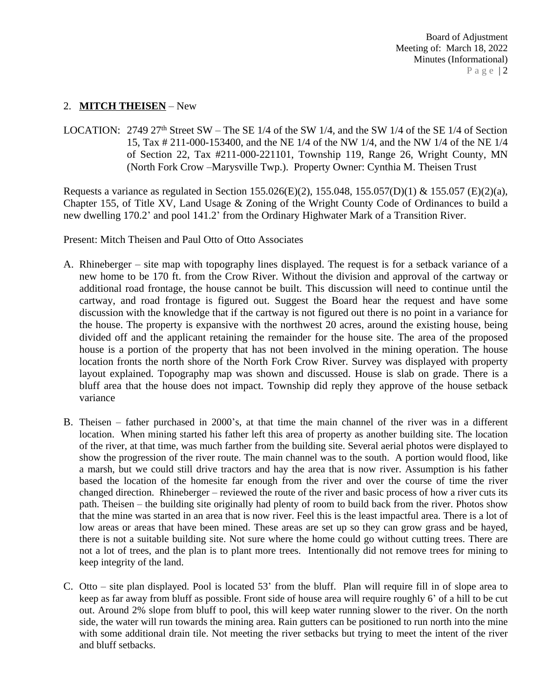# 2. **MITCH THEISEN** – New

LOCATION: 2749 27<sup>th</sup> Street SW – The SE 1/4 of the SW 1/4, and the SW 1/4 of the SE 1/4 of Section 15, Tax # 211-000-153400, and the NE 1/4 of the NW 1/4, and the NW 1/4 of the NE 1/4 of Section 22, Tax #211-000-221101, Township 119, Range 26, Wright County, MN (North Fork Crow –Marysville Twp.). Property Owner: Cynthia M. Theisen Trust

Requests a variance as regulated in Section 155.026(E)(2), 155.048, 155.057(D)(1) & 155.057 (E)(2)(a), Chapter 155, of Title XV, Land Usage & Zoning of the Wright County Code of Ordinances to build a new dwelling 170.2' and pool 141.2' from the Ordinary Highwater Mark of a Transition River.

Present: Mitch Theisen and Paul Otto of Otto Associates

- A. Rhineberger site map with topography lines displayed. The request is for a setback variance of a new home to be 170 ft. from the Crow River. Without the division and approval of the cartway or additional road frontage, the house cannot be built. This discussion will need to continue until the cartway, and road frontage is figured out. Suggest the Board hear the request and have some discussion with the knowledge that if the cartway is not figured out there is no point in a variance for the house. The property is expansive with the northwest 20 acres, around the existing house, being divided off and the applicant retaining the remainder for the house site. The area of the proposed house is a portion of the property that has not been involved in the mining operation. The house location fronts the north shore of the North Fork Crow River. Survey was displayed with property layout explained. Topography map was shown and discussed. House is slab on grade. There is a bluff area that the house does not impact. Township did reply they approve of the house setback variance
- B. Theisen father purchased in 2000's, at that time the main channel of the river was in a different location. When mining started his father left this area of property as another building site. The location of the river, at that time, was much farther from the building site. Several aerial photos were displayed to show the progression of the river route. The main channel was to the south. A portion would flood, like a marsh, but we could still drive tractors and hay the area that is now river. Assumption is his father based the location of the homesite far enough from the river and over the course of time the river changed direction. Rhineberger – reviewed the route of the river and basic process of how a river cuts its path. Theisen – the building site originally had plenty of room to build back from the river. Photos show that the mine was started in an area that is now river. Feel this is the least impactful area. There is a lot of low areas or areas that have been mined. These areas are set up so they can grow grass and be hayed, there is not a suitable building site. Not sure where the home could go without cutting trees. There are not a lot of trees, and the plan is to plant more trees. Intentionally did not remove trees for mining to keep integrity of the land.
- C. Otto site plan displayed. Pool is located 53' from the bluff. Plan will require fill in of slope area to keep as far away from bluff as possible. Front side of house area will require roughly 6' of a hill to be cut out. Around 2% slope from bluff to pool, this will keep water running slower to the river. On the north side, the water will run towards the mining area. Rain gutters can be positioned to run north into the mine with some additional drain tile. Not meeting the river setbacks but trying to meet the intent of the river and bluff setbacks.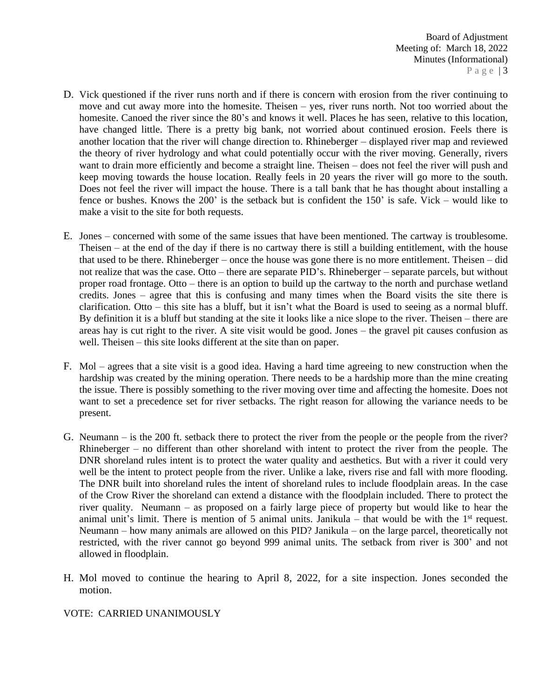- D. Vick questioned if the river runs north and if there is concern with erosion from the river continuing to move and cut away more into the homesite. Theisen – yes, river runs north. Not too worried about the homesite. Canoed the river since the 80's and knows it well. Places he has seen, relative to this location, have changed little. There is a pretty big bank, not worried about continued erosion. Feels there is another location that the river will change direction to. Rhineberger – displayed river map and reviewed the theory of river hydrology and what could potentially occur with the river moving. Generally, rivers want to drain more efficiently and become a straight line. Theisen – does not feel the river will push and keep moving towards the house location. Really feels in 20 years the river will go more to the south. Does not feel the river will impact the house. There is a tall bank that he has thought about installing a fence or bushes. Knows the 200' is the setback but is confident the 150' is safe. Vick – would like to make a visit to the site for both requests.
- E. Jones concerned with some of the same issues that have been mentioned. The cartway is troublesome. Theisen – at the end of the day if there is no cartway there is still a building entitlement, with the house that used to be there. Rhineberger – once the house was gone there is no more entitlement. Theisen – did not realize that was the case. Otto – there are separate PID's. Rhineberger – separate parcels, but without proper road frontage. Otto – there is an option to build up the cartway to the north and purchase wetland credits. Jones – agree that this is confusing and many times when the Board visits the site there is clarification. Otto – this site has a bluff, but it isn't what the Board is used to seeing as a normal bluff. By definition it is a bluff but standing at the site it looks like a nice slope to the river. Theisen – there are areas hay is cut right to the river. A site visit would be good. Jones – the gravel pit causes confusion as well. Theisen – this site looks different at the site than on paper.
- F. Mol agrees that a site visit is a good idea. Having a hard time agreeing to new construction when the hardship was created by the mining operation. There needs to be a hardship more than the mine creating the issue. There is possibly something to the river moving over time and affecting the homesite. Does not want to set a precedence set for river setbacks. The right reason for allowing the variance needs to be present.
- G. Neumann is the 200 ft. setback there to protect the river from the people or the people from the river? Rhineberger – no different than other shoreland with intent to protect the river from the people. The DNR shoreland rules intent is to protect the water quality and aesthetics. But with a river it could very well be the intent to protect people from the river. Unlike a lake, rivers rise and fall with more flooding. The DNR built into shoreland rules the intent of shoreland rules to include floodplain areas. In the case of the Crow River the shoreland can extend a distance with the floodplain included. There to protect the river quality. Neumann – as proposed on a fairly large piece of property but would like to hear the animal unit's limit. There is mention of 5 animal units. Janikula  $-$  that would be with the 1<sup>st</sup> request. Neumann – how many animals are allowed on this PID? Janikula – on the large parcel, theoretically not restricted, with the river cannot go beyond 999 animal units. The setback from river is 300' and not allowed in floodplain.
- H. Mol moved to continue the hearing to April 8, 2022, for a site inspection. Jones seconded the motion.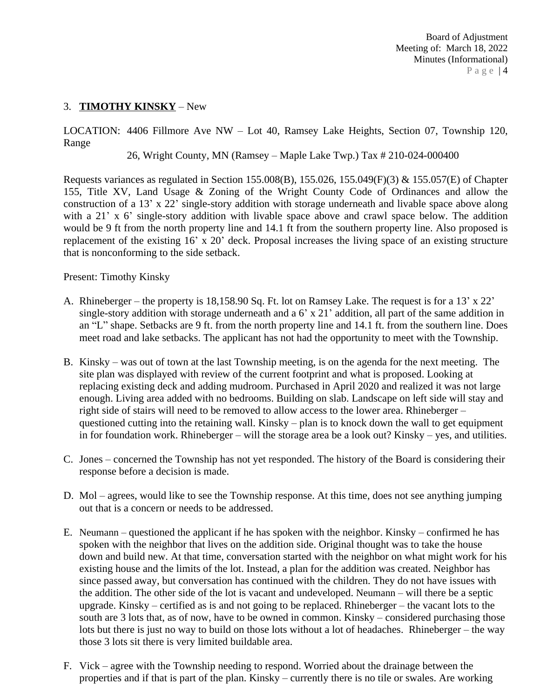# 3. **TIMOTHY KINSKY** – New

LOCATION: 4406 Fillmore Ave NW – Lot 40, Ramsey Lake Heights, Section 07, Township 120, Range

26, Wright County, MN (Ramsey – Maple Lake Twp.) Tax # 210-024-000400

Requests variances as regulated in Section 155.008(B), 155.026, 155.049(F)(3) & 155.057(E) of Chapter 155, Title XV, Land Usage & Zoning of the Wright County Code of Ordinances and allow the construction of a 13' x 22' single-story addition with storage underneath and livable space above along with a 21' x 6' single-story addition with livable space above and crawl space below. The addition would be 9 ft from the north property line and 14.1 ft from the southern property line. Also proposed is replacement of the existing 16' x 20' deck. Proposal increases the living space of an existing structure that is nonconforming to the side setback.

Present: Timothy Kinsky

- A. Rhineberger the property is 18,158.90 Sq. Ft. lot on Ramsey Lake. The request is for a 13' x 22' single-story addition with storage underneath and a 6' x 21' addition, all part of the same addition in an "L" shape. Setbacks are 9 ft. from the north property line and 14.1 ft. from the southern line. Does meet road and lake setbacks. The applicant has not had the opportunity to meet with the Township.
- B. Kinsky was out of town at the last Township meeting, is on the agenda for the next meeting. The site plan was displayed with review of the current footprint and what is proposed. Looking at replacing existing deck and adding mudroom. Purchased in April 2020 and realized it was not large enough. Living area added with no bedrooms. Building on slab. Landscape on left side will stay and right side of stairs will need to be removed to allow access to the lower area. Rhineberger – questioned cutting into the retaining wall. Kinsky – plan is to knock down the wall to get equipment in for foundation work. Rhineberger – will the storage area be a look out? Kinsky – yes, and utilities.
- C. Jones concerned the Township has not yet responded. The history of the Board is considering their response before a decision is made.
- D. Mol agrees, would like to see the Township response. At this time, does not see anything jumping out that is a concern or needs to be addressed.
- E. Neumann questioned the applicant if he has spoken with the neighbor. Kinsky confirmed he has spoken with the neighbor that lives on the addition side. Original thought was to take the house down and build new. At that time, conversation started with the neighbor on what might work for his existing house and the limits of the lot. Instead, a plan for the addition was created. Neighbor has since passed away, but conversation has continued with the children. They do not have issues with the addition. The other side of the lot is vacant and undeveloped. Neumann – will there be a septic upgrade. Kinsky – certified as is and not going to be replaced. Rhineberger – the vacant lots to the south are 3 lots that, as of now, have to be owned in common. Kinsky – considered purchasing those lots but there is just no way to build on those lots without a lot of headaches. Rhineberger – the way those 3 lots sit there is very limited buildable area.
- F. Vick agree with the Township needing to respond. Worried about the drainage between the properties and if that is part of the plan. Kinsky – currently there is no tile or swales. Are working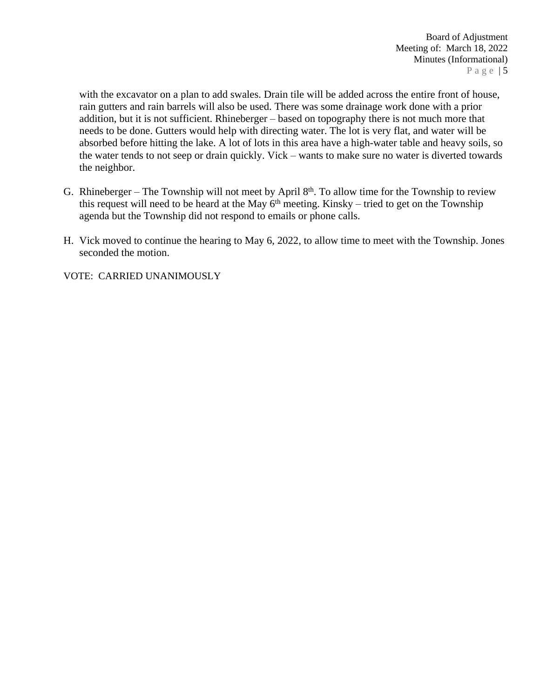with the excavator on a plan to add swales. Drain tile will be added across the entire front of house, rain gutters and rain barrels will also be used. There was some drainage work done with a prior addition, but it is not sufficient. Rhineberger – based on topography there is not much more that needs to be done. Gutters would help with directing water. The lot is very flat, and water will be absorbed before hitting the lake. A lot of lots in this area have a high-water table and heavy soils, so the water tends to not seep or drain quickly. Vick – wants to make sure no water is diverted towards the neighbor.

- G. Rhineberger The Township will not meet by April  $8<sup>th</sup>$ . To allow time for the Township to review this request will need to be heard at the May  $6<sup>th</sup>$  meeting. Kinsky – tried to get on the Township agenda but the Township did not respond to emails or phone calls.
- H. Vick moved to continue the hearing to May 6, 2022, to allow time to meet with the Township. Jones seconded the motion.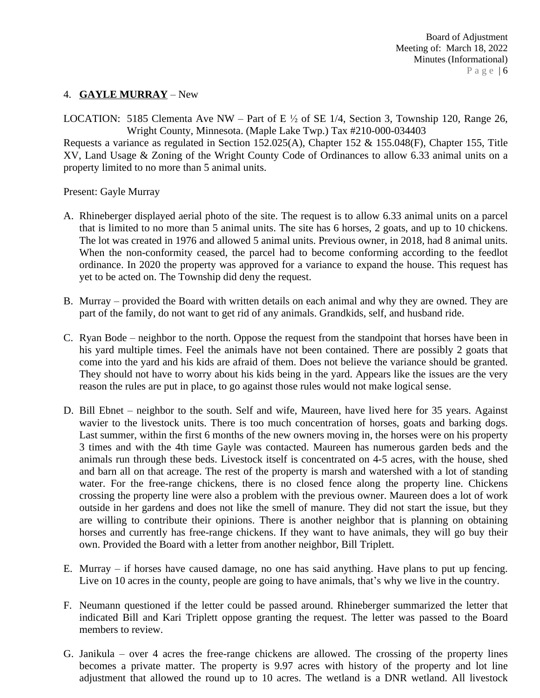# 4. **GAYLE MURRAY** – New

LOCATION: 5185 Clementa Ave NW – Part of E ½ of SE 1/4, Section 3, Township 120, Range 26, Wright County, Minnesota. (Maple Lake Twp.) Tax #210-000-034403

Requests a variance as regulated in Section 152.025(A), Chapter 152 & 155.048(F), Chapter 155, Title XV, Land Usage & Zoning of the Wright County Code of Ordinances to allow 6.33 animal units on a property limited to no more than 5 animal units.

Present: Gayle Murray

- A. Rhineberger displayed aerial photo of the site. The request is to allow 6.33 animal units on a parcel that is limited to no more than 5 animal units. The site has 6 horses, 2 goats, and up to 10 chickens. The lot was created in 1976 and allowed 5 animal units. Previous owner, in 2018, had 8 animal units. When the non-conformity ceased, the parcel had to become conforming according to the feedlot ordinance. In 2020 the property was approved for a variance to expand the house. This request has yet to be acted on. The Township did deny the request.
- B. Murray provided the Board with written details on each animal and why they are owned. They are part of the family, do not want to get rid of any animals. Grandkids, self, and husband ride.
- C. Ryan Bode neighbor to the north. Oppose the request from the standpoint that horses have been in his yard multiple times. Feel the animals have not been contained. There are possibly 2 goats that come into the yard and his kids are afraid of them. Does not believe the variance should be granted. They should not have to worry about his kids being in the yard. Appears like the issues are the very reason the rules are put in place, to go against those rules would not make logical sense.
- D. Bill Ebnet neighbor to the south. Self and wife, Maureen, have lived here for 35 years. Against wavier to the livestock units. There is too much concentration of horses, goats and barking dogs. Last summer, within the first 6 months of the new owners moving in, the horses were on his property 3 times and with the 4th time Gayle was contacted. Maureen has numerous garden beds and the animals run through these beds. Livestock itself is concentrated on 4-5 acres, with the house, shed and barn all on that acreage. The rest of the property is marsh and watershed with a lot of standing water. For the free-range chickens, there is no closed fence along the property line. Chickens crossing the property line were also a problem with the previous owner. Maureen does a lot of work outside in her gardens and does not like the smell of manure. They did not start the issue, but they are willing to contribute their opinions. There is another neighbor that is planning on obtaining horses and currently has free-range chickens. If they want to have animals, they will go buy their own. Provided the Board with a letter from another neighbor, Bill Triplett.
- E. Murray if horses have caused damage, no one has said anything. Have plans to put up fencing. Live on 10 acres in the county, people are going to have animals, that's why we live in the country.
- F. Neumann questioned if the letter could be passed around. Rhineberger summarized the letter that indicated Bill and Kari Triplett oppose granting the request. The letter was passed to the Board members to review.
- G. Janikula over 4 acres the free-range chickens are allowed. The crossing of the property lines becomes a private matter. The property is 9.97 acres with history of the property and lot line adjustment that allowed the round up to 10 acres. The wetland is a DNR wetland. All livestock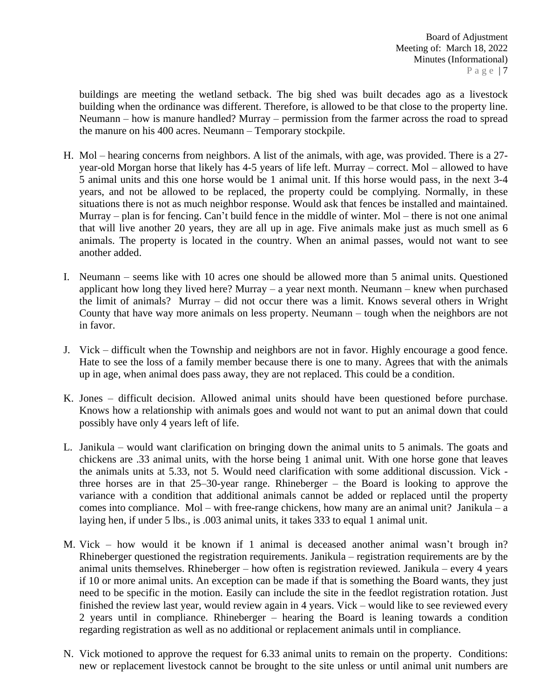buildings are meeting the wetland setback. The big shed was built decades ago as a livestock building when the ordinance was different. Therefore, is allowed to be that close to the property line. Neumann – how is manure handled? Murray – permission from the farmer across the road to spread the manure on his 400 acres. Neumann – Temporary stockpile.

- H. Mol hearing concerns from neighbors. A list of the animals, with age, was provided. There is a 27 year-old Morgan horse that likely has 4-5 years of life left. Murray – correct. Mol – allowed to have 5 animal units and this one horse would be 1 animal unit. If this horse would pass, in the next 3-4 years, and not be allowed to be replaced, the property could be complying. Normally, in these situations there is not as much neighbor response. Would ask that fences be installed and maintained. Murray – plan is for fencing. Can't build fence in the middle of winter. Mol – there is not one animal that will live another 20 years, they are all up in age. Five animals make just as much smell as 6 animals. The property is located in the country. When an animal passes, would not want to see another added.
- I. Neumann seems like with 10 acres one should be allowed more than 5 animal units. Questioned applicant how long they lived here? Murray  $-$  a year next month. Neumann  $-$  knew when purchased the limit of animals? Murray – did not occur there was a limit. Knows several others in Wright County that have way more animals on less property. Neumann – tough when the neighbors are not in favor.
- J. Vick difficult when the Township and neighbors are not in favor. Highly encourage a good fence. Hate to see the loss of a family member because there is one to many. Agrees that with the animals up in age, when animal does pass away, they are not replaced. This could be a condition.
- K. Jones difficult decision. Allowed animal units should have been questioned before purchase. Knows how a relationship with animals goes and would not want to put an animal down that could possibly have only 4 years left of life.
- L. Janikula would want clarification on bringing down the animal units to 5 animals. The goats and chickens are .33 animal units, with the horse being 1 animal unit. With one horse gone that leaves the animals units at 5.33, not 5. Would need clarification with some additional discussion. Vick three horses are in that 25–30-year range. Rhineberger – the Board is looking to approve the variance with a condition that additional animals cannot be added or replaced until the property comes into compliance. Mol – with free-range chickens, how many are an animal unit? Janikula – a laying hen, if under 5 lbs., is .003 animal units, it takes 333 to equal 1 animal unit.
- M. Vick how would it be known if 1 animal is deceased another animal wasn't brough in? Rhineberger questioned the registration requirements. Janikula – registration requirements are by the animal units themselves. Rhineberger – how often is registration reviewed. Janikula – every 4 years if 10 or more animal units. An exception can be made if that is something the Board wants, they just need to be specific in the motion. Easily can include the site in the feedlot registration rotation. Just finished the review last year, would review again in 4 years. Vick – would like to see reviewed every 2 years until in compliance. Rhineberger – hearing the Board is leaning towards a condition regarding registration as well as no additional or replacement animals until in compliance.
- N. Vick motioned to approve the request for 6.33 animal units to remain on the property. Conditions: new or replacement livestock cannot be brought to the site unless or until animal unit numbers are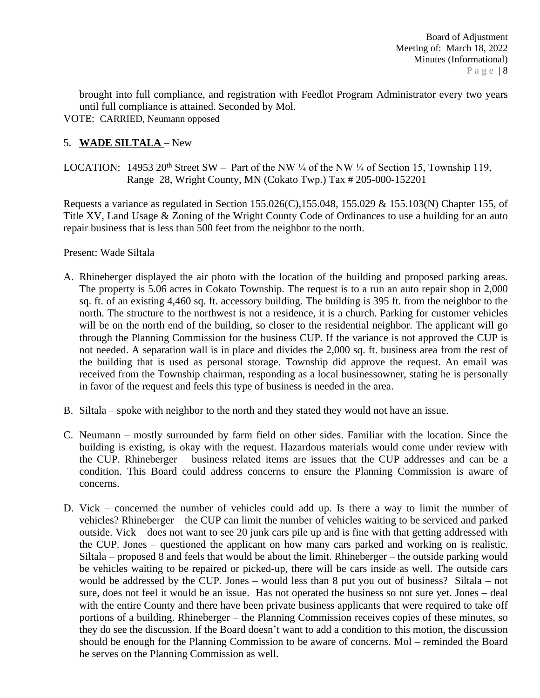brought into full compliance, and registration with Feedlot Program Administrator every two years until full compliance is attained. Seconded by Mol. VOTE: CARRIED, Neumann opposed

# 5. **WADE SILTALA** – New

LOCATION: 14953 20<sup>th</sup> Street SW – Part of the NW  $\frac{1}{4}$  of the NW  $\frac{1}{4}$  of Section 15, Township 119, Range 28, Wright County, MN (Cokato Twp.) Tax # 205-000-152201

Requests a variance as regulated in Section 155.026(C),155.048, 155.029 & 155.103(N) Chapter 155, of Title XV, Land Usage & Zoning of the Wright County Code of Ordinances to use a building for an auto repair business that is less than 500 feet from the neighbor to the north.

## Present: Wade Siltala

- A. Rhineberger displayed the air photo with the location of the building and proposed parking areas. The property is 5.06 acres in Cokato Township. The request is to a run an auto repair shop in 2,000 sq. ft. of an existing 4,460 sq. ft. accessory building. The building is 395 ft. from the neighbor to the north. The structure to the northwest is not a residence, it is a church. Parking for customer vehicles will be on the north end of the building, so closer to the residential neighbor. The applicant will go through the Planning Commission for the business CUP. If the variance is not approved the CUP is not needed. A separation wall is in place and divides the 2,000 sq. ft. business area from the rest of the building that is used as personal storage. Township did approve the request. An email was received from the Township chairman, responding as a local businessowner, stating he is personally in favor of the request and feels this type of business is needed in the area.
- B. Siltala spoke with neighbor to the north and they stated they would not have an issue.
- C. Neumann mostly surrounded by farm field on other sides. Familiar with the location. Since the building is existing, is okay with the request. Hazardous materials would come under review with the CUP. Rhineberger – business related items are issues that the CUP addresses and can be a condition. This Board could address concerns to ensure the Planning Commission is aware of concerns.
- D. Vick concerned the number of vehicles could add up. Is there a way to limit the number of vehicles? Rhineberger – the CUP can limit the number of vehicles waiting to be serviced and parked outside. Vick – does not want to see 20 junk cars pile up and is fine with that getting addressed with the CUP. Jones – questioned the applicant on how many cars parked and working on is realistic. Siltala – proposed 8 and feels that would be about the limit. Rhineberger – the outside parking would be vehicles waiting to be repaired or picked-up, there will be cars inside as well. The outside cars would be addressed by the CUP. Jones – would less than 8 put you out of business? Siltala – not sure, does not feel it would be an issue. Has not operated the business so not sure yet. Jones – deal with the entire County and there have been private business applicants that were required to take off portions of a building. Rhineberger – the Planning Commission receives copies of these minutes, so they do see the discussion. If the Board doesn't want to add a condition to this motion, the discussion should be enough for the Planning Commission to be aware of concerns. Mol – reminded the Board he serves on the Planning Commission as well.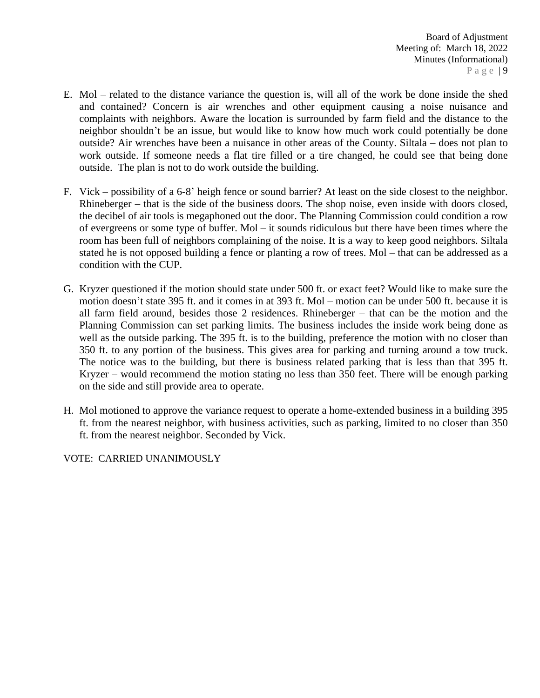- E. Mol related to the distance variance the question is, will all of the work be done inside the shed and contained? Concern is air wrenches and other equipment causing a noise nuisance and complaints with neighbors. Aware the location is surrounded by farm field and the distance to the neighbor shouldn't be an issue, but would like to know how much work could potentially be done outside? Air wrenches have been a nuisance in other areas of the County. Siltala – does not plan to work outside. If someone needs a flat tire filled or a tire changed, he could see that being done outside. The plan is not to do work outside the building.
- F. Vick possibility of a 6-8' heigh fence or sound barrier? At least on the side closest to the neighbor. Rhineberger – that is the side of the business doors. The shop noise, even inside with doors closed, the decibel of air tools is megaphoned out the door. The Planning Commission could condition a row of evergreens or some type of buffer. Mol – it sounds ridiculous but there have been times where the room has been full of neighbors complaining of the noise. It is a way to keep good neighbors. Siltala stated he is not opposed building a fence or planting a row of trees. Mol – that can be addressed as a condition with the CUP.
- G. Kryzer questioned if the motion should state under 500 ft. or exact feet? Would like to make sure the motion doesn't state 395 ft. and it comes in at 393 ft. Mol – motion can be under 500 ft. because it is all farm field around, besides those 2 residences. Rhineberger – that can be the motion and the Planning Commission can set parking limits. The business includes the inside work being done as well as the outside parking. The 395 ft. is to the building, preference the motion with no closer than 350 ft. to any portion of the business. This gives area for parking and turning around a tow truck. The notice was to the building, but there is business related parking that is less than that 395 ft. Kryzer – would recommend the motion stating no less than 350 feet. There will be enough parking on the side and still provide area to operate.
- H. Mol motioned to approve the variance request to operate a home-extended business in a building 395 ft. from the nearest neighbor, with business activities, such as parking, limited to no closer than 350 ft. from the nearest neighbor. Seconded by Vick.